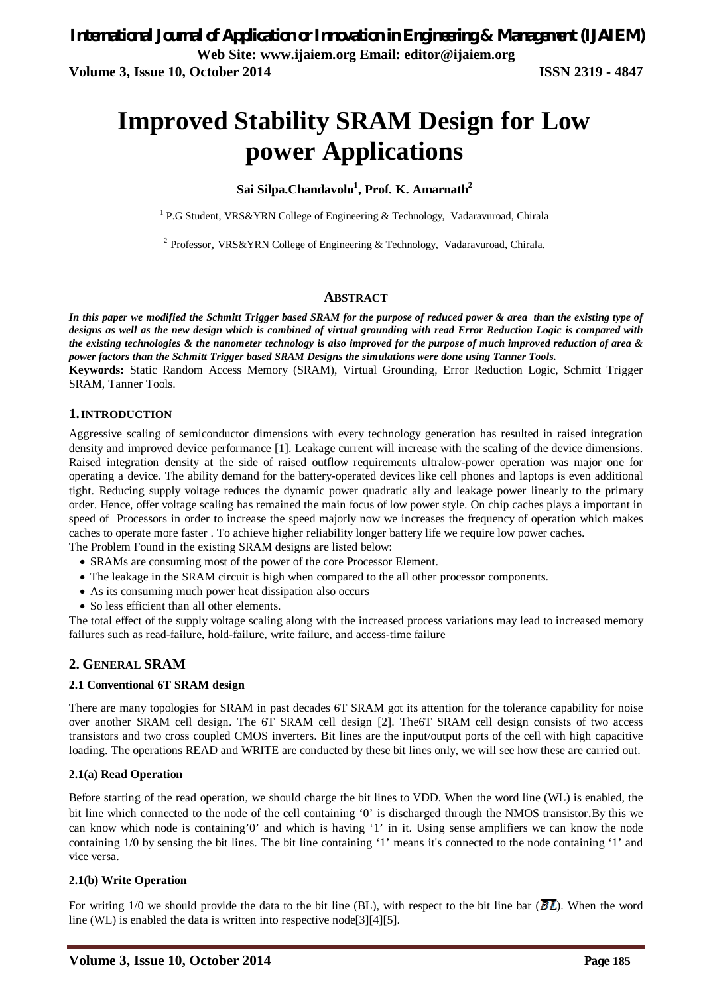# **Improved Stability SRAM Design for Low power Applications**

#### **Sai Silpa.Chandavolu<sup>1</sup> , Prof. K. Amarnath<sup>2</sup>**

<sup>1</sup> P.G Student, VRS&YRN College of Engineering & Technology, Vadaravuroad, Chirala

<sup>2</sup> Professor, VRS&YRN College of Engineering & Technology, Vadaravuroad, Chirala.

#### **ABSTRACT**

In this paper we modified the Schmitt Trigger based SRAM for the purpose of reduced power & area than the existing type of *designs as well as the new design which is combined of virtual grounding with read Error Reduction Logic is compared with the existing technologies & the nanometer technology is also improved for the purpose of much improved reduction of area & power factors than the Schmitt Trigger based SRAM Designs the simulations were done using Tanner Tools.*

**Keywords:** Static Random Access Memory (SRAM), Virtual Grounding, Error Reduction Logic, Schmitt Trigger SRAM, Tanner Tools.

#### **1.INTRODUCTION**

Aggressive scaling of semiconductor dimensions with every technology generation has resulted in raised integration density and improved device performance [1]. Leakage current will increase with the scaling of the device dimensions. Raised integration density at the side of raised outflow requirements ultralow-power operation was major one for operating a device. The ability demand for the battery-operated devices like cell phones and laptops is even additional tight. Reducing supply voltage reduces the dynamic power quadratic ally and leakage power linearly to the primary order. Hence, offer voltage scaling has remained the main focus of low power style. On chip caches plays a important in speed of Processors in order to increase the speed majorly now we increases the frequency of operation which makes caches to operate more faster . To achieve higher reliability longer battery life we require low power caches.

The Problem Found in the existing SRAM designs are listed below:

- SRAMs are consuming most of the power of the core Processor Element.
- The leakage in the SRAM circuit is high when compared to the all other processor components.
- As its consuming much power heat dissipation also occurs
- So less efficient than all other elements.

The total effect of the supply voltage scaling along with the increased process variations may lead to increased memory failures such as read-failure, hold-failure, write failure, and access-time failure

#### **2. GENERAL SRAM**

#### **2.1 Conventional 6T SRAM design**

There are many topologies for SRAM in past decades 6T SRAM got its attention for the tolerance capability for noise over another SRAM cell design. The 6T SRAM cell design [2]. The6T SRAM cell design consists of two access transistors and two cross coupled CMOS inverters. Bit lines are the input/output ports of the cell with high capacitive loading. The operations READ and WRITE are conducted by these bit lines only, we will see how these are carried out.

#### **2.1(a) Read Operation**

Before starting of the read operation, we should charge the bit lines to VDD. When the word line (WL) is enabled, the bit line which connected to the node of the cell containing '0' is discharged through the NMOS transistor.By this we can know which node is containing'0' and which is having '1' in it. Using sense amplifiers we can know the node containing 1/0 by sensing the bit lines. The bit line containing '1' means it's connected to the node containing '1' and vice versa.

#### **2.1(b) Write Operation**

For writing 1/0 we should provide the data to the bit line (BL), with respect to the bit line bar ( $\overline{BL}$ ). When the word line (WL) is enabled the data is written into respective node[3][4][5].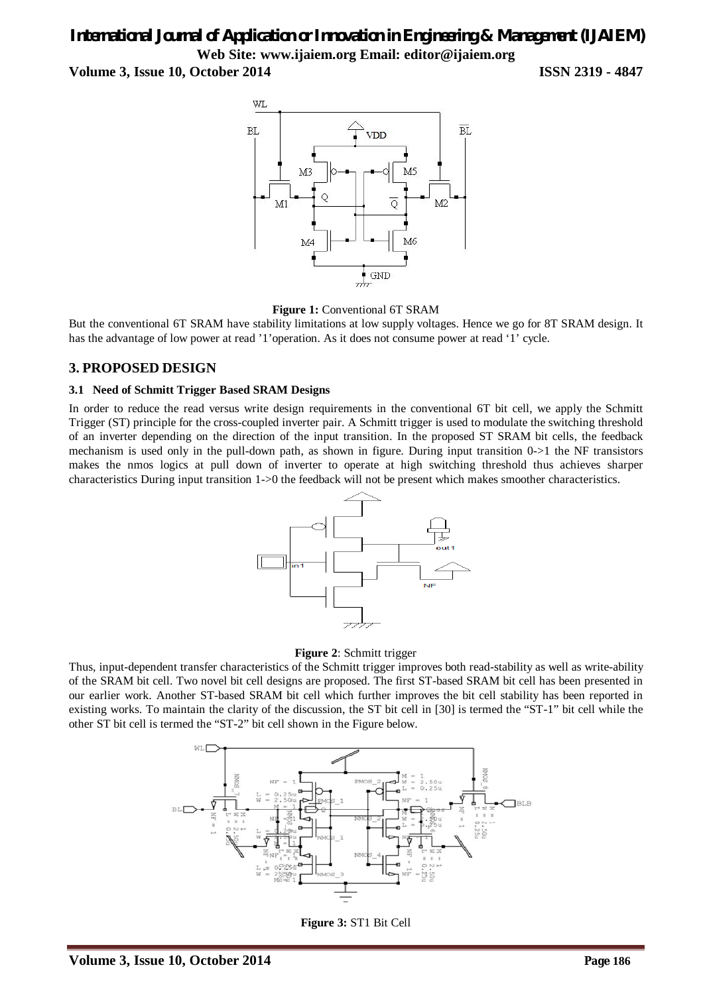# *International Journal of Application or Innovation in Engineering & Management (IJAIEM)* **Web Site: www.ijaiem.org Email: editor@ijaiem.org**

**Volume 3, Issue 10, October 2014 ISSN 2319 - 4847**





But the conventional 6T SRAM have stability limitations at low supply voltages. Hence we go for 8T SRAM design. It has the advantage of low power at read '1'operation. As it does not consume power at read '1' cycle.

## **3. PROPOSED DESIGN**

#### **3.1 Need of Schmitt Trigger Based SRAM Designs**

In order to reduce the read versus write design requirements in the conventional 6T bit cell, we apply the Schmitt Trigger (ST) principle for the cross-coupled inverter pair. A Schmitt trigger is used to modulate the switching threshold of an inverter depending on the direction of the input transition. In the proposed ST SRAM bit cells, the feedback mechanism is used only in the pull-down path, as shown in figure. During input transition 0->1 the NF transistors makes the nmos logics at pull down of inverter to operate at high switching threshold thus achieves sharper characteristics During input transition 1->0 the feedback will not be present which makes smoother characteristics.





Thus, input-dependent transfer characteristics of the Schmitt trigger improves both read-stability as well as write-ability of the SRAM bit cell. Two novel bit cell designs are proposed. The first ST-based SRAM bit cell has been presented in our earlier work. Another ST-based SRAM bit cell which further improves the bit cell stability has been reported in existing works. To maintain the clarity of the discussion, the ST bit cell in [30] is termed the "ST-1" bit cell while the other ST bit cell is termed the "ST-2" bit cell shown in the Figure below.



**Figure 3:** ST1 Bit Cell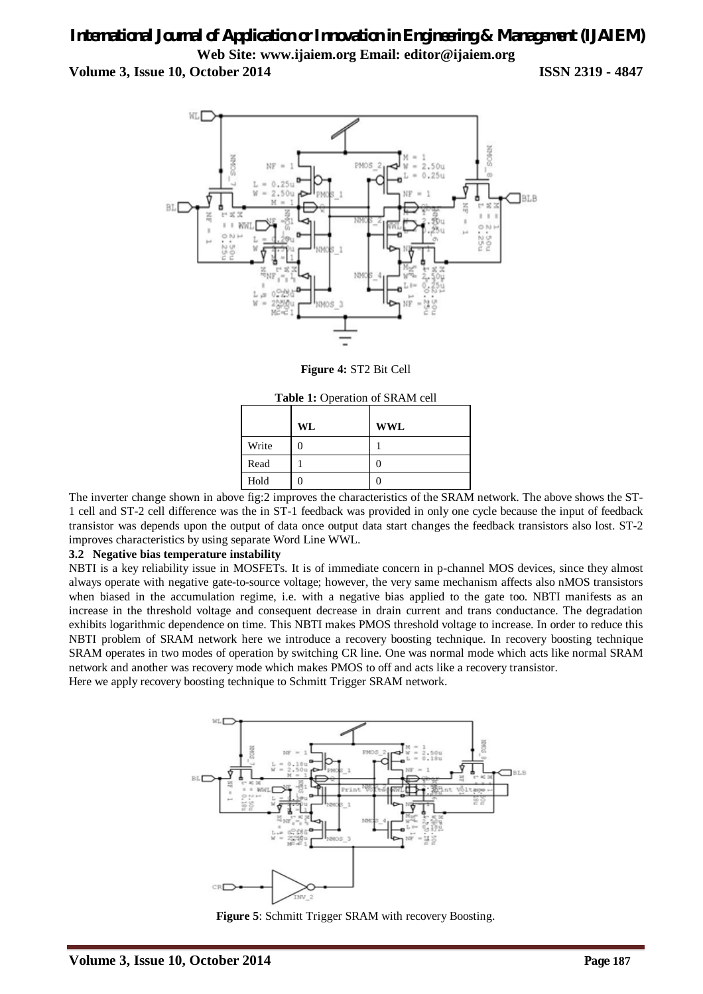# *International Journal of Application or Innovation in Engineering & Management (IJAIEM)* **Web Site: www.ijaiem.org Email: editor@ijaiem.org**

**Volume 3, Issue 10, October 2014 ISSN 2319 - 4847**



**Figure 4:** ST2 Bit Cell

|       | <b>Table 1:</b> Operation of SRAM cell |     |  |  |  |
|-------|----------------------------------------|-----|--|--|--|
|       | WL                                     | WWL |  |  |  |
| Write |                                        |     |  |  |  |
| Read  |                                        |     |  |  |  |
| Hold  |                                        |     |  |  |  |

The inverter change shown in above fig:2 improves the characteristics of the SRAM network. The above shows the ST-1 cell and ST-2 cell difference was the in ST-1 feedback was provided in only one cycle because the input of feedback transistor was depends upon the output of data once output data start changes the feedback transistors also lost. ST-2 improves characteristics by using separate Word Line WWL.

#### **3.2 Negative bias temperature instability**

NBTI is a key reliability issue in MOSFETs. It is of immediate concern in p-channel MOS devices, since they almost always operate with negative gate-to-source voltage; however, the very same mechanism affects also nMOS transistors when biased in the accumulation regime, i.e. with a negative bias applied to the gate too. NBTI manifests as an increase in the threshold voltage and consequent decrease in drain current and trans conductance. The degradation exhibits logarithmic dependence on time. This NBTI makes PMOS threshold voltage to increase. In order to reduce this NBTI problem of SRAM network here we introduce a recovery boosting technique. In recovery boosting technique SRAM operates in two modes of operation by switching CR line. One was normal mode which acts like normal SRAM network and another was recovery mode which makes PMOS to off and acts like a recovery transistor. Here we apply recovery boosting technique to Schmitt Trigger SRAM network.



**Figure 5**: Schmitt Trigger SRAM with recovery Boosting.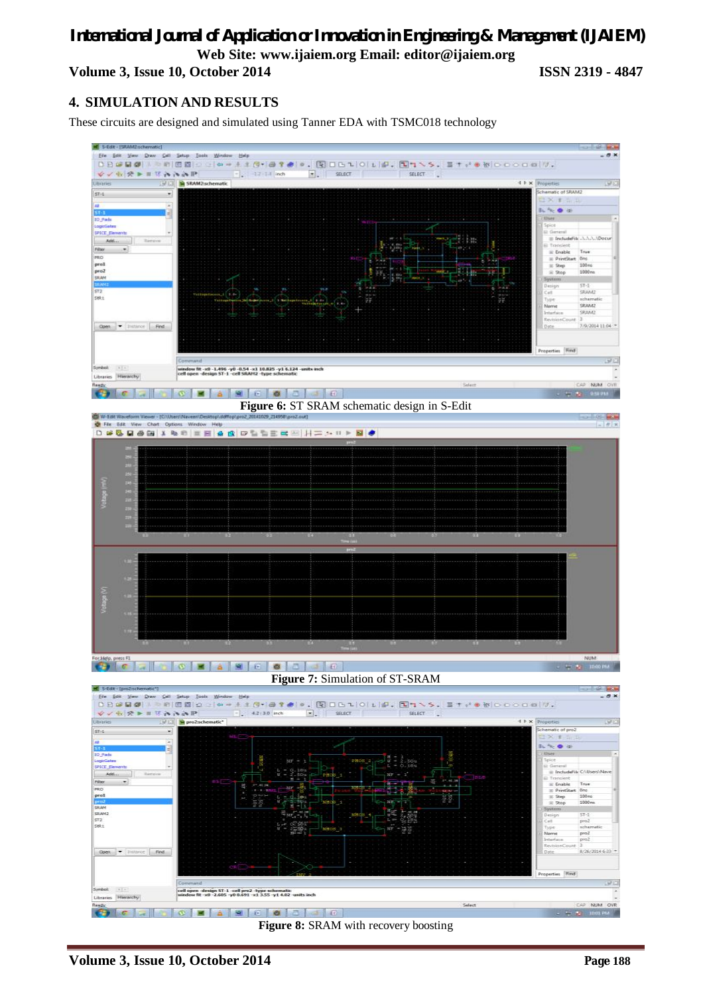# *International Journal of Application or Innovation in Engineering & Management (IJAIEM)* **Web Site: www.ijaiem.org Email: editor@ijaiem.org Volume 3, Issue 10, October 2014 ISSN 2319 - 4847**

# **4. SIMULATION AND RESULTS**

These circuits are designed and simulated using Tanner EDA with TSMC018 technology